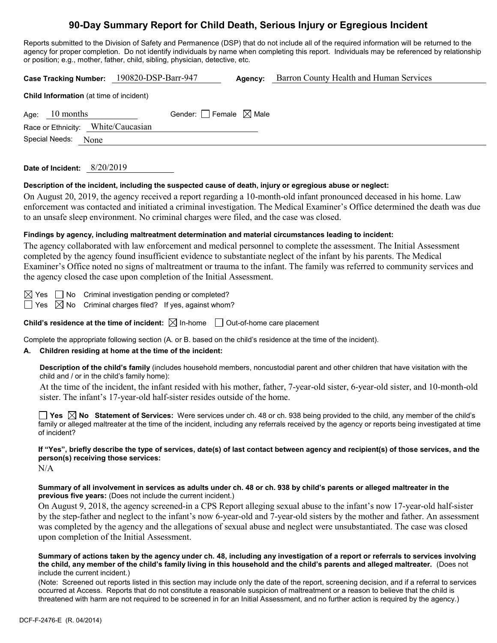# **90-Day Summary Report for Child Death, Serious Injury or Egregious Incident**

Reports submitted to the Division of Safety and Permanence (DSP) that do not include all of the required information will be returned to the agency for proper completion. Do not identify individuals by name when completing this report. Individuals may be referenced by relationship or position; e.g., mother, father, child, sibling, physician, detective, etc.

| or position, e.g., motrier, ratrier, criliu, sibiling, priysician, detective, etc.                                                                                                                                                                                                                                                                                                                                                                                                                                                                                 |  |  |  |  |  |
|--------------------------------------------------------------------------------------------------------------------------------------------------------------------------------------------------------------------------------------------------------------------------------------------------------------------------------------------------------------------------------------------------------------------------------------------------------------------------------------------------------------------------------------------------------------------|--|--|--|--|--|
| Barron County Health and Human Services<br>Case Tracking Number: 190820-DSP-Barr-947<br>Agency:                                                                                                                                                                                                                                                                                                                                                                                                                                                                    |  |  |  |  |  |
| Child Information (at time of incident)                                                                                                                                                                                                                                                                                                                                                                                                                                                                                                                            |  |  |  |  |  |
| 10 months<br>Gender: Female $\boxtimes$ Male<br>Age:                                                                                                                                                                                                                                                                                                                                                                                                                                                                                                               |  |  |  |  |  |
| Race or Ethnicity: White/Caucasian                                                                                                                                                                                                                                                                                                                                                                                                                                                                                                                                 |  |  |  |  |  |
| Special Needs:<br>None                                                                                                                                                                                                                                                                                                                                                                                                                                                                                                                                             |  |  |  |  |  |
| Date of Incident: 8/20/2019                                                                                                                                                                                                                                                                                                                                                                                                                                                                                                                                        |  |  |  |  |  |
| Description of the incident, including the suspected cause of death, injury or egregious abuse or neglect:<br>On August 20, 2019, the agency received a report regarding a 10-month-old infant pronounced deceased in his home. Law<br>enforcement was contacted and initiated a criminal investigation. The Medical Examiner's Office determined the death was due<br>to an unsafe sleep environment. No criminal charges were filed, and the case was closed.                                                                                                    |  |  |  |  |  |
| Findings by agency, including maltreatment determination and material circumstances leading to incident:<br>The agency collaborated with law enforcement and medical personnel to complete the assessment. The Initial Assessment<br>completed by the agency found insufficient evidence to substantiate neglect of the infant by his parents. The Medical<br>Examiner's Office noted no signs of maltreatment or trauma to the infant. The family was referred to community services and<br>the agency closed the case upon completion of the Initial Assessment. |  |  |  |  |  |
| $\boxtimes$ Yes $\Box$ No<br>Criminal investigation pending or completed?<br>Criminal charges filed? If yes, against whom?<br>$\Box$ Yes $\boxtimes$ No                                                                                                                                                                                                                                                                                                                                                                                                            |  |  |  |  |  |
| Child's residence at the time of incident: $\boxtimes$ In-home $\Box$ Out-of-home care placement                                                                                                                                                                                                                                                                                                                                                                                                                                                                   |  |  |  |  |  |
| Complete the appropriate following section (A. or B. based on the child's residence at the time of the incident).<br>Children residing at home at the time of the incident:<br>А.                                                                                                                                                                                                                                                                                                                                                                                  |  |  |  |  |  |
| Description of the child's family (includes household members, noncustodial parent and other children that have visitation with the<br>child and / or in the child's family home):                                                                                                                                                                                                                                                                                                                                                                                 |  |  |  |  |  |
| At the time of the incident, the infant resided with his mother, father, 7-year-old sister, 6-year-old sister, and 10-month-old<br>sister. The infant's 17-year-old half-sister resides outside of the home.                                                                                                                                                                                                                                                                                                                                                       |  |  |  |  |  |
| Yes $\boxtimes$ No Statement of Services: Were services under ch. 48 or ch. 938 being provided to the child, any member of the child's<br>family or alleged maltreater at the time of the incident, including any referrals received by the agency or reports being investigated at time<br>of incident?                                                                                                                                                                                                                                                           |  |  |  |  |  |
| If "Yes", briefly describe the type of services, date(s) of last contact between agency and recipient(s) of those services, and the<br>person(s) receiving those services:<br>N/A                                                                                                                                                                                                                                                                                                                                                                                  |  |  |  |  |  |
| Summary of all involvement in services as adults under ch. 48 or ch. 938 by child's parents or alleged maltreater in the<br>previous five years: (Does not include the current incident.)                                                                                                                                                                                                                                                                                                                                                                          |  |  |  |  |  |
| On August 9, 2018, the agency screened-in a CPS Report alleging sexual abuse to the infant's now 17-year-old half-sister<br>by the step-father and neglect to the infant's now 6-year-old and 7-year-old sisters by the mother and father. An assessment<br>was completed by the agency and the allegations of sexual abuse and neglect were unsubstantiated. The case was closed<br>upon completion of the Initial Assessment.                                                                                                                                    |  |  |  |  |  |
| Summary of actions taken by the agency under ch. 48, including any investigation of a report or referrals to services involving<br>the child, any member of the child's family living in this household and the child's parents and alleged maltreater. (Does not<br>include the current incident.)                                                                                                                                                                                                                                                                |  |  |  |  |  |
| (Note: Screened out reports listed in this section may include only the date of the report, screening decision, and if a referral to services                                                                                                                                                                                                                                                                                                                                                                                                                      |  |  |  |  |  |

occurred at Access. Reports that do not constitute a reasonable suspicion of maltreatment or a reason to believe that the child is threatened with harm are not required to be screened in for an Initial Assessment, and no further action is required by the agency.)